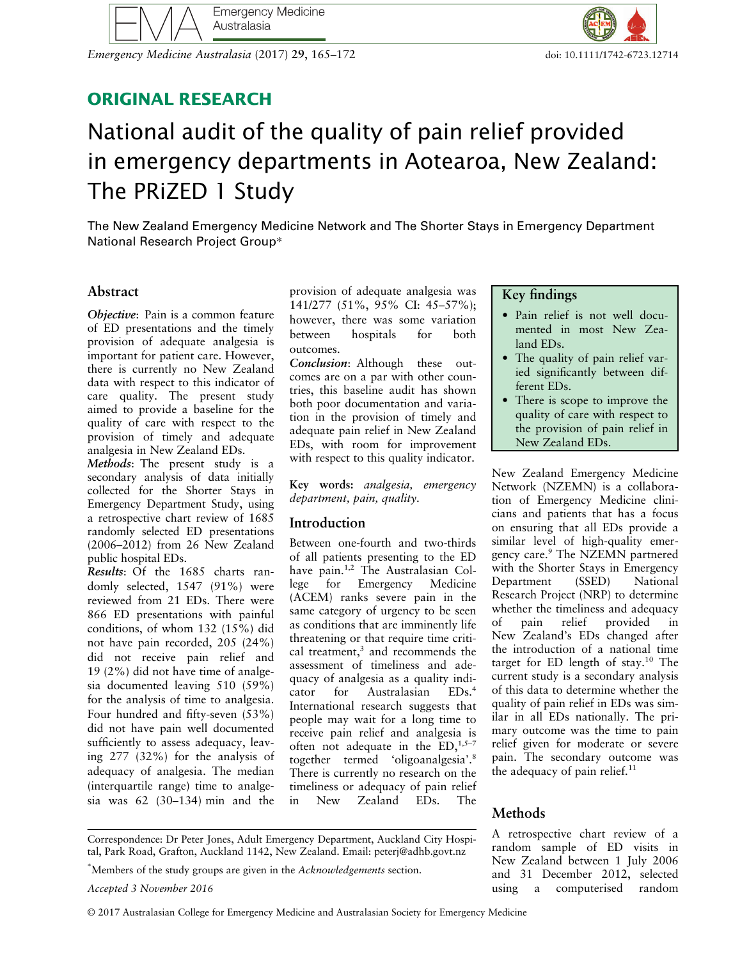

*Emergency Medicine Australasia* (2017) **29**, 165–172 doi: 10.1111/1742-6723.12714



# **ORIGINAL RESEARCH**

# National audit of the quality of pain relief provided in emergency departments in Aotearoa, New Zealand: The PRiZED 1 Study

The New Zealand Emergency Medicine Network and The Shorter Stays in Emergency Department National Research Project Group\*

# **Abstract**

*Objective*: Pain is a common feature of ED presentations and the timely provision of adequate analgesia is important for patient care. However, there is currently no New Zealand data with respect to this indicator of care quality. The present study aimed to provide a baseline for the quality of care with respect to the provision of timely and adequate analgesia in New Zealand EDs.

*Methods*: The present study is a secondary analysis of data initially collected for the Shorter Stays in Emergency Department Study, using a retrospective chart review of 1685 randomly selected ED presentations (2006–2012) from 26 New Zealand public hospital EDs.

*Results*: Of the 1685 charts randomly selected, 1547 (91%) were reviewed from 21 EDs. There were 866 ED presentations with painful conditions, of whom 132 (15%) did not have pain recorded, 205 (24%) did not receive pain relief and 19 (2%) did not have time of analgesia documented leaving 510 (59%) for the analysis of time to analgesia. Four hundred and fifty-seven (53%) did not have pain well documented sufficiently to assess adequacy, leaving 277 (32%) for the analysis of adequacy of analgesia. The median (interquartile range) time to analgesia was 62 (30–134) min and the provision of adequate analgesia was 141/277 (51%, 95% CI: 45–57%); however, there was some variation between hospitals for both outcomes.

*Conclusion*: Although these outcomes are on a par with other countries, this baseline audit has shown both poor documentation and variation in the provision of timely and adequate pain relief in New Zealand EDs, with room for improvement with respect to this quality indicator.

**Key words:** *analgesia, emergency department, pain, quality.*

# **Introduction**

Between one-fourth and two-thirds of all patients presenting to the ED have pain.<sup>1,2</sup> The Australasian College for Emergency Medicine (ACEM) ranks severe pain in the same category of urgency to be seen as conditions that are imminently life threatening or that require time critical treatment,<sup>3</sup> and recommends the assessment of timeliness and adequacy of analgesia as a quality indicator for Australasian EDs.<sup>4</sup> cator for Australasian International research suggests that people may wait for a long time to receive pain relief and analgesia is often not adequate in the  $ED, <sup>1,5–7</sup>$ together termed 'oligoanalgesia'. 8 There is currently no research on the timeliness or adequacy of pain relief in New Zealand EDs. The

# **Key findings**

- Pain relief is not well documented in most New Zealand EDs.
- The quality of pain relief varied significantly between different EDs.
- There is scope to improve the quality of care with respect to the provision of pain relief in New Zealand EDs.

New Zealand Emergency Medicine Network (NZEMN) is a collaboration of Emergency Medicine clinicians and patients that has a focus on ensuring that all EDs provide a similar level of high-quality emergency care.<sup>9</sup> The NZEMN partnered with the Shorter Stays in Emergency Department (SSED) National Research Project (NRP) to determine whether the timeliness and adequacy of pain relief provided in New Zealand's EDs changed after the introduction of a national time target for ED length of stay.<sup>10</sup> The current study is a secondary analysis of this data to determine whether the quality of pain relief in EDs was similar in all EDs nationally. The primary outcome was the time to pain relief given for moderate or severe pain. The secondary outcome was the adequacy of pain relief. $11$ 

# **Methods**

*Accepted 3 November 2016*

© 2017 Australasian College for Emergency Medicine and Australasian Society for Emergency Medicine

A retrospective chart review of a random sample of ED visits in New Zealand between 1 July 2006 and 31 December 2012, selected using a computerised random

Correspondence: Dr Peter Jones, Adult Emergency Department, Auckland City Hospital, Park Road, Grafton, Auckland 1142, New Zealand. Email: [peterj@adhb.govt.nz](mailto:peterj@adhb.govt.nz)

<sup>\*</sup> Members of the study groups are given in the *Acknowledgements* section.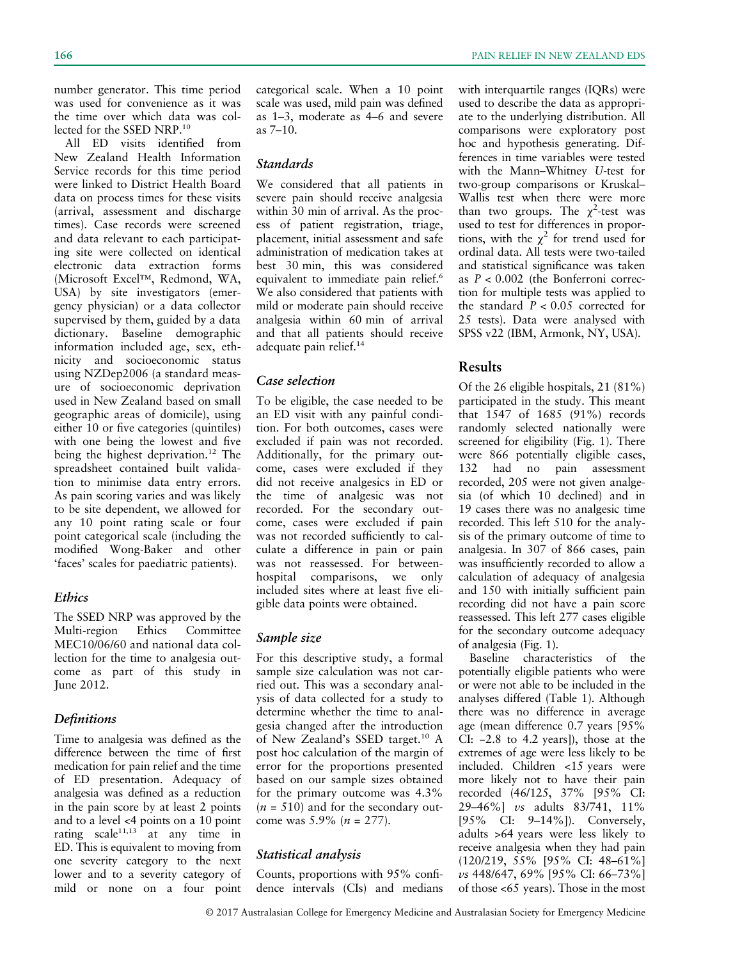number generator. This time period was used for convenience as it was the time over which data was collected for the SSED NRP.<sup>10</sup>

All ED visits identified from New Zealand Health Information Service records for this time period were linked to District Health Board data on process times for these visits (arrival, assessment and discharge times). Case records were screened and data relevant to each participating site were collected on identical electronic data extraction forms (Microsoft Excel™, Redmond, WA, USA) by site investigators (emergency physician) or a data collector supervised by them, guided by a data dictionary. Baseline demographic information included age, sex, ethnicity and socioeconomic status using NZDep2006 (a standard measure of socioeconomic deprivation used in New Zealand based on small geographic areas of domicile), using either 10 or five categories (quintiles) with one being the lowest and five being the highest deprivation.<sup>12</sup> The spreadsheet contained built validation to minimise data entry errors. As pain scoring varies and was likely to be site dependent, we allowed for any 10 point rating scale or four point categorical scale (including the modified Wong-Baker and other 'faces' scales for paediatric patients).

# *Ethics*

The SSED NRP was approved by the<br>Multi-region Ethics Committee Multi-region Ethics MEC10/06/60 and national data collection for the time to analgesia outcome as part of this study in June 2012.

#### *Definitions*

Time to analgesia was defined as the difference between the time of first medication for pain relief and the time of ED presentation. Adequacy of analgesia was defined as a reduction in the pain score by at least 2 points and to a level <4 points on a 10 point rating  $scale^{11,13}$  at any time in ED. This is equivalent to moving from one severity category to the next lower and to a severity category of mild or none on a four point

categorical scale. When a 10 point scale was used, mild pain was defined as 1–3, moderate as 4–6 and severe as 7–10.

#### *Standards*

We considered that all patients in severe pain should receive analgesia within 30 min of arrival. As the process of patient registration, triage, placement, initial assessment and safe administration of medication takes at best 30 min, this was considered equivalent to immediate pain relief.<sup>6</sup> We also considered that patients with mild or moderate pain should receive analgesia within 60 min of arrival and that all patients should receive adequate pain relief.<sup>14</sup>

#### *Case selection*

To be eligible, the case needed to be an ED visit with any painful condition. For both outcomes, cases were excluded if pain was not recorded. Additionally, for the primary outcome, cases were excluded if they did not receive analgesics in ED or the time of analgesic was not recorded. For the secondary outcome, cases were excluded if pain was not recorded sufficiently to calculate a difference in pain or pain was not reassessed. For betweenhospital comparisons, we only included sites where at least five eligible data points were obtained.

#### *Sample size*

For this descriptive study, a formal sample size calculation was not carried out. This was a secondary analysis of data collected for a study to determine whether the time to analgesia changed after the introduction of New Zealand's SSED target.<sup>10</sup> A post hoc calculation of the margin of error for the proportions presented based on our sample sizes obtained for the primary outcome was 4.3%  $(n = 510)$  and for the secondary outcome was 5.9% (*n* = 277).

#### *Statistical analysis*

Counts, proportions with 95% confidence intervals (CIs) and medians with interquartile ranges (IQRs) were used to describe the data as appropriate to the underlying distribution. All comparisons were exploratory post hoc and hypothesis generating. Differences in time variables were tested with the Mann–Whitney *U*-test for two-group comparisons or Kruskal– Wallis test when there were more than two groups. The  $\chi^2$ -test was used to test for differences in proportions, with the  $\chi^2$  for trend used for ordinal data. All tests were two-tailed and statistical significance was taken as *P* < 0.002 (the Bonferroni correction for multiple tests was applied to the standard *P* < 0.05 corrected for 25 tests). Data were analysed with SPSS v22 (IBM, Armonk, NY, USA).

# **Results**

Of the 26 eligible hospitals, 21 (81%) participated in the study. This meant that 1547 of 1685 (91%) records randomly selected nationally were screened for eligibility (Fig. 1). There were 866 potentially eligible cases, 132 had no pain assessment recorded, 205 were not given analgesia (of which 10 declined) and in 19 cases there was no analgesic time recorded. This left 510 for the analysis of the primary outcome of time to analgesia. In 307 of 866 cases, pain was insufficiently recorded to allow a calculation of adequacy of analgesia and 150 with initially sufficient pain recording did not have a pain score reassessed. This left 277 cases eligible for the secondary outcome adequacy of analgesia (Fig. 1).

Baseline characteristics of the potentially eligible patients who were or were not able to be included in the analyses differed (Table 1). Although there was no difference in average age (mean difference 0.7 years [95% CI: −2.8 to 4.2 years]), those at the extremes of age were less likely to be included. Children <15 years were more likely not to have their pain recorded (46/125, 37% [95% CI: 29–46%] *vs* adults 83/741, 11% [95% CI: 9–14%]). Conversely, adults >64 years were less likely to receive analgesia when they had pain (120/219, 55% [95% CI: 48–61%] *vs* 448/647, 69% [95% CI: 66–73%] of those <65 years). Those in the most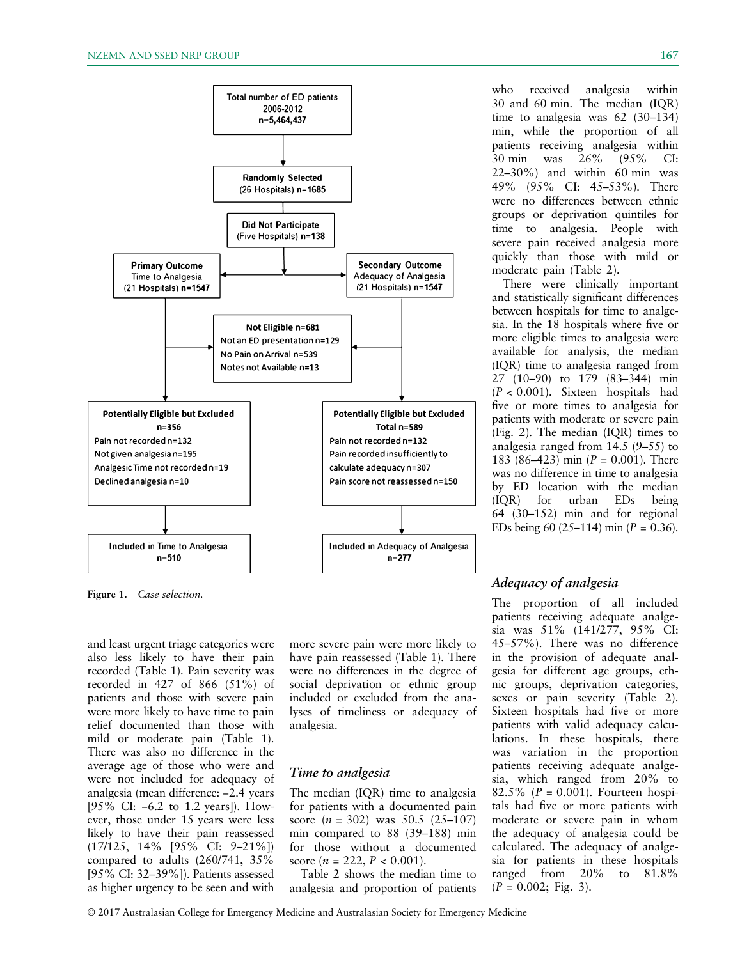

**Figure 1.** *Case selection.*

and least urgent triage categories were also less likely to have their pain recorded (Table 1). Pain severity was recorded in 427 of 866 (51%) of patients and those with severe pain were more likely to have time to pain relief documented than those with mild or moderate pain (Table 1). There was also no difference in the average age of those who were and were not included for adequacy of analgesia (mean difference: −2.4 years [95% CI: -6.2 to 1.2 years]). However, those under 15 years were less likely to have their pain reassessed (17/125, 14% [95% CI: 9–21%]) compared to adults (260/741, 35% [95% CI: 32–39%]). Patients assessed as higher urgency to be seen and with

more severe pain were more likely to have pain reassessed (Table 1). There were no differences in the degree of social deprivation or ethnic group included or excluded from the analyses of timeliness or adequacy of analgesia.

#### *Time to analgesia*

The median (IQR) time to analgesia for patients with a documented pain score  $(n = 302)$  was 50.5  $(25-107)$ min compared to 88 (39–188) min for those without a documented score  $(n = 222, P < 0.001)$ .

Table 2 shows the median time to analgesia and proportion of patients who received analgesia within 30 and 60 min. The median (IQR) time to analgesia was 62 (30–134) min, while the proportion of all patients receiving analgesia within 30 min was 26% (95% CI: 22–30%) and within 60 min was 49% (95% CI: 45–53%). There were no differences between ethnic groups or deprivation quintiles for time to analgesia. People with severe pain received analgesia more quickly than those with mild or moderate pain (Table 2).

There were clinically important and statistically significant differences between hospitals for time to analgesia. In the 18 hospitals where five or more eligible times to analgesia were available for analysis, the median (IQR) time to analgesia ranged from 27 (10–90) to 179 (83–344) min  $(P < 0.001)$ . Sixteen hospitals had five or more times to analgesia for patients with moderate or severe pain (Fig. 2). The median (IQR) times to analgesia ranged from 14.5 (9–55) to 183 (86–423) min (*P* = 0.001). There was no difference in time to analgesia by ED location with the median (IQR) for urban EDs being 64 (30–152) min and for regional EDs being 60 (25–114) min (*P* = 0.36).

#### *Adequacy of analgesia*

The proportion of all included patients receiving adequate analgesia was 51% (141/277, 95% CI: 45–57%). There was no difference in the provision of adequate analgesia for different age groups, ethnic groups, deprivation categories, sexes or pain severity (Table 2). Sixteen hospitals had five or more patients with valid adequacy calculations. In these hospitals, there was variation in the proportion patients receiving adequate analgesia, which ranged from 20% to 82.5% (*P* = 0.001). Fourteen hospitals had five or more patients with moderate or severe pain in whom the adequacy of analgesia could be calculated. The adequacy of analgesia for patients in these hospitals ranged from 20% to 81.8%  $(P = 0.002;$  Fig. 3).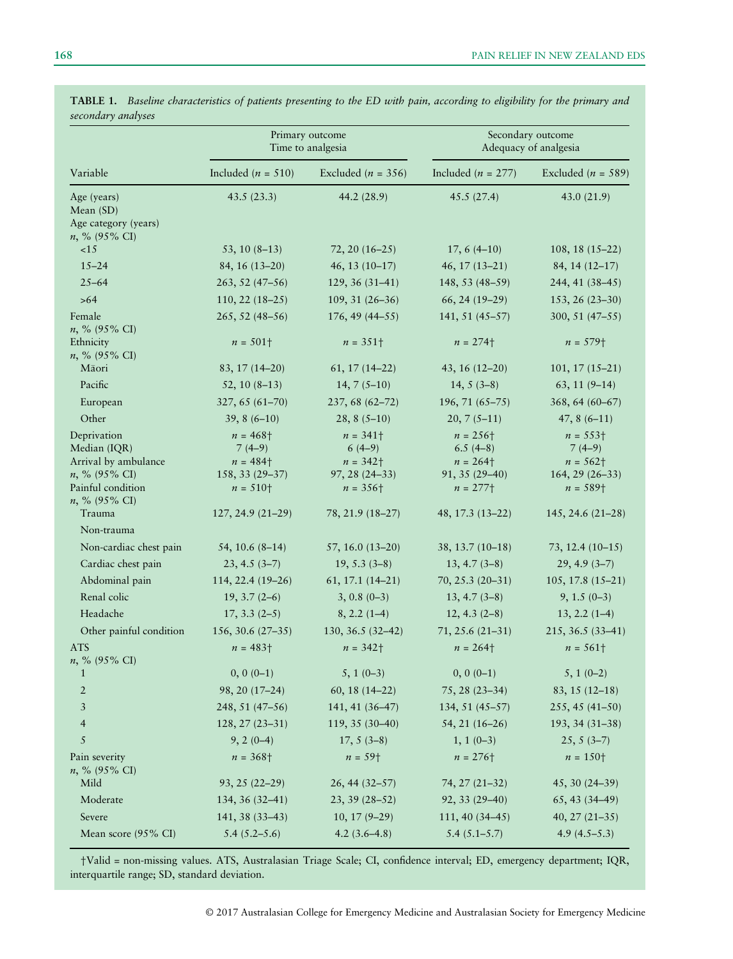|                                          |                                | Primary outcome<br>Time to analgesia     | Secondary outcome<br>Adequacy of analgesia |                                           |  |
|------------------------------------------|--------------------------------|------------------------------------------|--------------------------------------------|-------------------------------------------|--|
| Variable                                 | Included $(n = 510)$           | Excluded ( $n = 356$ )                   | Included $(n = 277)$                       | Excluded ( $n = 589$ )                    |  |
| Age (years)<br>Mean (SD)                 | 43.5 $(23.3)$                  | 44.2 (28.9)                              | 45.5(27.4)                                 | 43.0 (21.9)                               |  |
| Age category (years)<br>$n, \%$ (95% CI) |                                |                                          |                                            |                                           |  |
| $\leq 15$                                | $53, 10(8-13)$                 | $72, 20(16-25)$                          | $17, 6(4-10)$                              | $108, 18(15-22)$                          |  |
| $15 - 24$                                | 84, 16 (13-20)                 | 46, 13 $(10-17)$                         | $46, 17(13-21)$                            | 84, 14 (12-17)                            |  |
| $25 - 64$                                | $263, 52(47-56)$               | 129, 36 (31-41)                          | 148, 53 (48–59)                            | 244, 41 (38-45)                           |  |
| $>64$                                    | $110, 22(18-25)$               | $109, 31 (26 - 36)$                      | 66, 24 (19-29)                             | 153, 26 (23-30)                           |  |
| Female                                   | 265, 52 (48-56)                | $176, 49(44-55)$                         | 141, 51 (45-57)                            | 300, 51 (47-55)                           |  |
| $n, \%$ (95% CI)<br>Ethnicity            | $n = 501$ +                    | $n = 351$ +                              | $n = 274$ +                                | $n = 579$ <sup>+</sup>                    |  |
| $n, \%$ (95% CI)<br>Māori                | 83, 17 (14-20)                 | $61, 17(14-22)$                          | 43, 16 $(12-20)$                           | $101, 17(15-21)$                          |  |
| Pacific                                  | $52, 10(8-13)$                 | $14, 7(5-10)$                            | $14, 5(3-8)$                               | $63, 11 (9-14)$                           |  |
| European                                 | 327, 65 (61-70)                | 237, 68 (62-72)                          | 196, 71 (65-75)                            | 368, 64 (60-67)                           |  |
| Other                                    | $39, 8(6 - 10)$                | $28, 8(5-10)$                            | $20, 7(5-11)$                              | $47, 8(6-11)$                             |  |
| Deprivation                              | $n = 468$ <sup>+</sup>         | $n = 341$ +                              | $n = 256$ <sup>+</sup>                     | $n = 553$ +                               |  |
| Median (IQR)                             | $7(4-9)$                       | $6(4-9)$                                 | $6.5(4-8)$                                 | $7(4-9)$                                  |  |
| Arrival by ambulance                     | $n = 484$ +<br>158, 33 (29-37) | $n = 342 +$                              | $n = 264$ +                                | $n = 562$ <sup>+</sup>                    |  |
| $n, \%$ (95% CI)<br>Painful condition    | $n = 510+$                     | 97, 28 (24-33)<br>$n = 356$ <sup>+</sup> | 91, 35 (29-40)<br>$n = 277 +$              | 164, 29 (26-33)<br>$n = 589$ <sup>+</sup> |  |
| n, % (95% CI)                            |                                |                                          |                                            |                                           |  |
| Trauma                                   | 127, 24.9 (21-29)              | 78, 21.9 (18-27)                         | 48, 17.3 (13–22)                           | $145, 24.6 (21 - 28)$                     |  |
| Non-trauma                               |                                |                                          |                                            |                                           |  |
| Non-cardiac chest pain                   | $54, 10.6 (8 - 14)$            | 57, 16.0 (13-20)                         | 38, 13.7 (10-18)                           | 73, 12.4 (10-15)                          |  |
| Cardiac chest pain                       | $23, 4.5 (3 - 7)$              | $19, 5.3(3-8)$                           | $13, 4.7(3-8)$                             | $29, 4.9 (3 - 7)$                         |  |
| Abdominal pain                           | 114, 22.4 (19-26)              | $61, 17.1$ $(14-21)$                     | 70, 25.3 (20-31)                           | $105, 17.8(15-21)$                        |  |
| Renal colic                              | $19, 3.7(2-6)$                 | $3, 0.8$ $(0-3)$                         | $13, 4.7(3-8)$                             | $9, 1.5(0-3)$                             |  |
| Headache                                 | $17, 3.3(2-5)$                 | $8, 2.2(1-4)$                            | $12, 4.3(2-8)$                             | $13, 2.2$ $(1-4)$                         |  |
| Other painful condition                  | $156, 30.6 (27-35)$            | 130, 36.5 (32-42)                        | $71, 25.6 (21 - 31)$                       | 215, 36.5 (33-41)                         |  |
| <b>ATS</b>                               | $n = 483 +$                    | $n = 342 +$                              | $n = 264$ <sup>+</sup>                     | $n = 561$                                 |  |
| n, % (95% CI)<br>$\mathbf{1}$            | $0, 0 (0-1)$                   | $5, 1(0-3)$                              | $0, 0 (0-1)$                               | $5, 1(0-2)$                               |  |
| $\overline{2}$                           | 98, 20 (17-24)                 | $60, 18(14-22)$                          | 75, 28 (23-34)                             | 83, 15 (12-18)                            |  |
| $\mathfrak{Z}$                           | 248, 51 (47-56)                | 141, 41 (36-47)                          | 134, 51 (45-57)                            | 255, 45 (41-50)                           |  |
| $\overline{4}$                           | $128, 27(23-31)$               | 119, 35 (30-40)                          | $54, 21(16-26)$                            | 193, 34 (31-38)                           |  |
| $\sqrt{5}$                               | $9, 2(0-4)$                    | $17, 5(3-8)$                             | $1, 1(0-3)$                                | $25, 5(3-7)$                              |  |
| Pain severity                            | $n = 368$ <sup>+</sup>         | $n = 59$ <sup>+</sup>                    | $n = 276$                                  | $n = 150$ <sup>+</sup>                    |  |
| $n, \%$ (95% CI)                         |                                |                                          |                                            |                                           |  |
| Mild                                     | 93, 25 (22-29)                 | $26, 44(32 - 57)$                        | 74, 27 (21-32)                             | 45, 30 (24-39)                            |  |
| Moderate                                 | 134, 36 (32–41)                | $23, 39(28-52)$                          | 92, 33 (29-40)                             | $65, 43(34-49)$                           |  |
| Severe                                   | 141, 38 (33-43)                | $10, 17(9-29)$                           | $111, 40(34-45)$                           | 40, 27 $(21-35)$                          |  |
| Mean score (95% CI)                      | $5.4(5.2 - 5.6)$               | 4.2 $(3.6-4.8)$                          | $5.4(5.1-5.7)$                             | $4.9(4.5-5.3)$                            |  |

**TABLE 1.** *Baseline characteristics of patients presenting to the ED with pain, according to eligibility for the primary and secondary analyses*

†Valid = non-missing values. ATS, Australasian Triage Scale; CI, confidence interval; ED, emergency department; IQR, interquartile range; SD, standard deviation.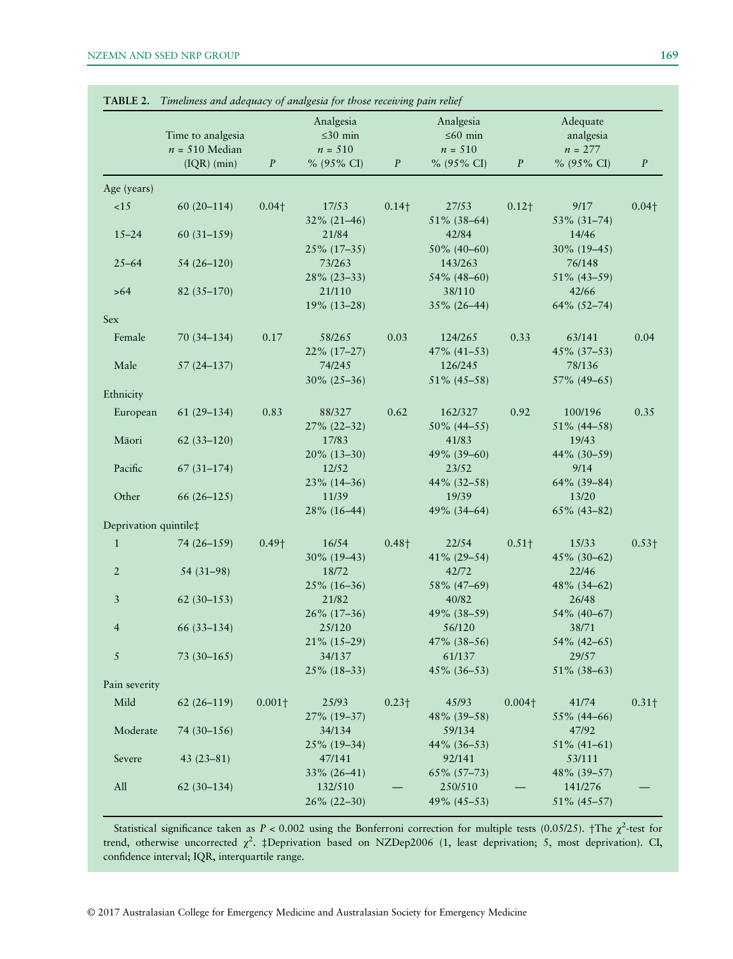|                       | Time to analgesia<br>$n = 510$ Median<br>(IQR) (min) | $\cal P$          | Analgesia<br>$\leq$ 30 min<br>$n = 510$<br>% (95% CI) | $\boldsymbol{P}$ | Analgesia<br>≤60 min<br>$n = 510$<br>% (95% CI) | $\boldsymbol{P}$ | Adequate<br>analgesia<br>$n=277$<br>% (95% CI) | $\boldsymbol{P}$ |
|-----------------------|------------------------------------------------------|-------------------|-------------------------------------------------------|------------------|-------------------------------------------------|------------------|------------------------------------------------|------------------|
| Age (years)           |                                                      |                   |                                                       |                  |                                                 |                  |                                                |                  |
| ${<}15$               | $60(20-114)$                                         | 0.04 <sub>1</sub> | 17/53<br>$32\% (21 - 46)$                             | $0.14\dagger$    | 27/53<br>$51\%$ (38-64)                         | $0.12\dagger$    | 9/17<br>53% (31-74)                            | $0.04\dagger$    |
| $15 - 24$             | $60(31-159)$                                         |                   | 21/84<br>$25\%$ (17-35)                               |                  | 42/84<br>$50\%$ (40-60)                         |                  | 14/46<br>30% (19-45)                           |                  |
| $25 - 64$             | $54(26-120)$                                         |                   | 73/263<br>$28\% (23 - 33)$                            |                  | 143/263<br>54% (48-60)                          |                  | 76/148<br>$51\%$ (43-59)                       |                  |
| $>64$                 | $82(35 - 170)$                                       |                   | 21/110<br>$19\%$ (13-28)                              |                  | 38/110<br>35% (26-44)                           |                  | 42/66<br>64% (52-74)                           |                  |
| Sex                   |                                                      |                   |                                                       |                  |                                                 |                  |                                                |                  |
| Female                | $70(34 - 134)$                                       | $0.17\,$          | 58/265<br>22% (17-27)                                 | 0.03             | 124/265<br>$47\%$ (41-53)                       | 0.33             | 63/141<br>45% (37-53)                          | 0.04             |
| Male                  | $57(24 - 137)$                                       |                   | 74/245<br>$30\% (25 - 36)$                            |                  | 126/245<br>$51\% (45-58)$                       |                  | 78/136<br>$57\%$ (49-65)                       |                  |
| Ethnicity             |                                                      |                   |                                                       |                  |                                                 |                  |                                                |                  |
| European              | $61(29-134)$                                         | 0.83              | 88/327<br>27% (22-32)                                 | 0.62             | 162/327<br>$50\%$ (44-55)                       | 0.92             | 100/196<br>$51\%$ (44-58)                      | 0.35             |
| Māori                 | $62(33-120)$                                         |                   | 17/83<br>$20\%$ (13-30)                               |                  | 41/83<br>49% (39-60)                            |                  | 19/43<br>44% (30-59)                           |                  |
| Pacific               | $67(31 - 174)$                                       |                   | 12/52<br>23% (14-36)                                  |                  | 23/52<br>44% (32-58)                            |                  | 9/14<br>64% (39-84)                            |                  |
| Other                 | $66(26-125)$                                         |                   | 11/39<br>28% (16-44)                                  |                  | 19/39<br>49% (34-64)                            |                  | 13/20<br>$65\%$ (43-82)                        |                  |
| Deprivation quintile‡ |                                                      |                   |                                                       |                  |                                                 |                  |                                                |                  |
| $\mathbf{1}$          | 74 (26-159)                                          | $0.49\dagger$     | 16/54<br>30% (19-43)                                  | $0.48\dagger$    | 22/54<br>41% (29-54)                            | $0.51\dagger$    | 15/33<br>$45\%$ (30-62)                        | $0.53+$          |
| $\overline{2}$        | $54(31-98)$                                          |                   | 18/72<br>$25\%$ (16-36)                               |                  | 42/72<br>58% (47-69)                            |                  | 22/46<br>48% (34-62)                           |                  |
| $\mathfrak{Z}$        | $62(30-153)$                                         |                   | 21/82<br>$26\%$ (17-36)                               |                  | 40/82<br>49% (38-59)                            |                  | 26/48<br>54% (40-67)                           |                  |
| $\overline{4}$        | $66(33-134)$                                         |                   | 25/120<br>$21\% (15-29)$                              |                  | 56/120<br>47% (38-56)                           |                  | 38/71<br>$54\%$ (42-65)                        |                  |
| 5                     | $73(30-165)$                                         |                   | 34/137<br>$25\%$ (18-33)                              |                  | 61/137<br>$45\%$ (36-53)                        |                  | 29/57<br>$51\%$ (38–63)                        |                  |
| Pain severity         |                                                      |                   |                                                       |                  |                                                 |                  |                                                |                  |
| Mild                  | $62(26-119)$                                         | $0.001\dagger$    | 25/93<br>27% (19-37)                                  | $0.23 +$         | 45/93<br>48% (39-58)                            | $0.004\dagger$   | 41/74<br>55% (44-66)                           | $0.31 +$         |
| Moderate              | 74 (30-156)                                          |                   | 34/134<br>25% (19-34)                                 |                  | 59/134<br>44% $(36-53)$                         |                  | 47/92<br>$51\%$ (41-61)                        |                  |
| Severe                | $43(23-81)$                                          |                   | 47/141<br>$33\% (26 - 41)$                            |                  | 92/141<br>$65\%$ (57–73)                        |                  | 53/111<br>48% (39-57)                          |                  |
| All                   | $62(30-134)$                                         |                   | 132/510<br>$26\% (22 - 30)$                           |                  | 250/510<br>49% (45-53)                          |                  | 141/276<br>$51\%$ (45-57)                      |                  |

|  | TABLE 2. Timeliness and adequacy of analgesia for those receiving pain relief |  |  |  |  |
|--|-------------------------------------------------------------------------------|--|--|--|--|
|--|-------------------------------------------------------------------------------|--|--|--|--|

Statistical significance taken as  $P < 0.002$  using the Bonferroni correction for multiple tests (0.05/25). †The  $\chi^2$ -test for trend, otherwise uncorrected  $\chi^2$ . ‡Deprivation based on NZDep2006 (1, least deprivation; 5, most deprivation). CI, confidence interval; IQR, interquartile range.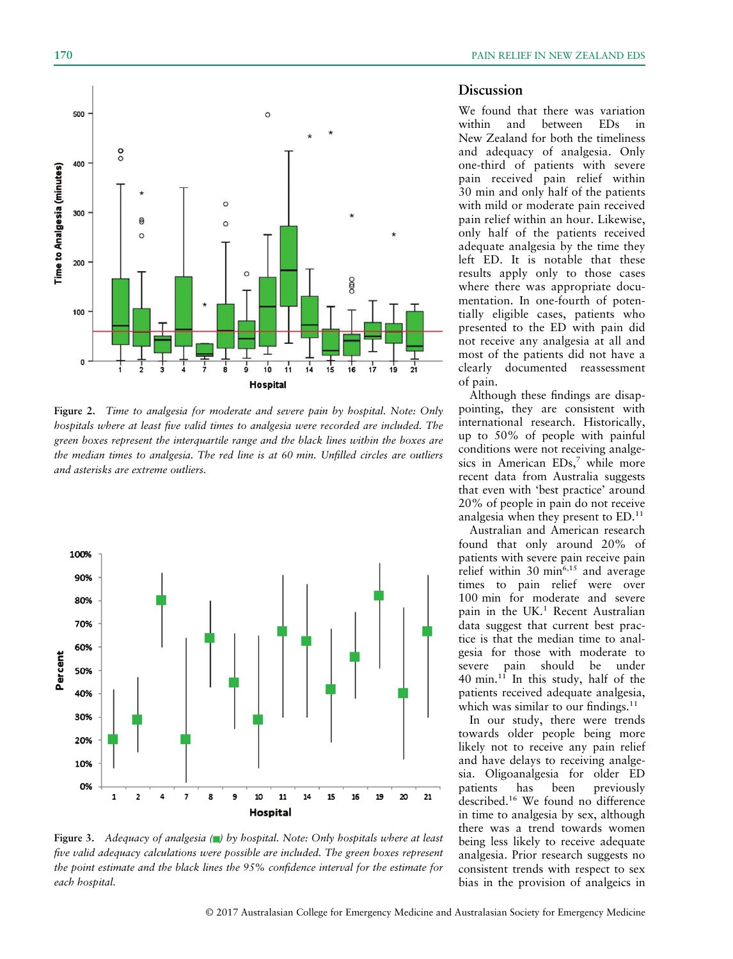

**Figure 2.** *Time to analgesia for moderate and severe pain by hospital. Note: Only hospitals where at least five valid times to analgesia were recorded are included. The green boxes represent the interquartile range and the black lines within the boxes are the median times to analgesia. The red line is at 60 min. Unfilled circles are outliers and asterisks are extreme outliers.*



**Figure 3.** *Adequacy of analgesia ( ) by hospital. Note: Only hospitals where at least five valid adequacy calculations were possible are included. The green boxes represent the point estimate and the black lines the 95% confidence interval for the estimate for each hospital.*

# **Discussion**

We found that there was variation<br>within and between EDs in and between EDs in New Zealand for both the timeliness and adequacy of analgesia. Only one-third of patients with severe pain received pain relief within 30 min and only half of the patients with mild or moderate pain received pain relief within an hour. Likewise, only half of the patients received adequate analgesia by the time they left ED. It is notable that these results apply only to those cases where there was appropriate documentation. In one-fourth of potentially eligible cases, patients who presented to the ED with pain did not receive any analgesia at all and most of the patients did not have a clearly documented reassessment of pain.

Although these findings are disappointing, they are consistent with international research. Historically, up to 50% of people with painful conditions were not receiving analgesics in American EDs,<sup>7</sup> while more recent data from Australia suggests that even with 'best practice' around 20% of people in pain do not receive analgesia when they present to  $ED.^{11}$ 

Australian and American research found that only around 20% of patients with severe pain receive pain relief within 30  $\text{min}^{6,15}$  and average times to pain relief were over 100 min for moderate and severe pain in the UK.<sup>1</sup> Recent Australian data suggest that current best practice is that the median time to analgesia for those with moderate to severe pain should be under 40 min.<sup>11</sup> In this study, half of the patients received adequate analgesia, which was similar to our findings. $11$ 

In our study, there were trends towards older people being more likely not to receive any pain relief and have delays to receiving analgesia. Oligoanalgesia for older ED has been previously described.<sup>16</sup> We found no difference in time to analgesia by sex, although there was a trend towards women being less likely to receive adequate analgesia. Prior research suggests no consistent trends with respect to sex bias in the provision of analgeics in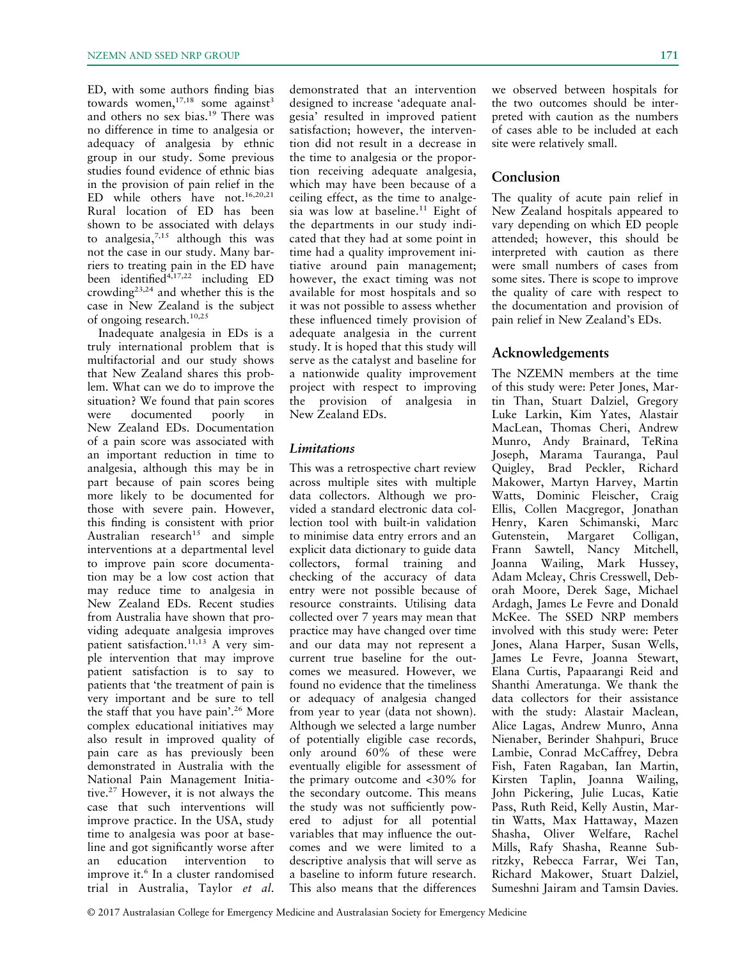ED, with some authors finding bias towards women, $17,18$  some against<sup>3</sup> and others no sex bias.<sup>19</sup> There was no difference in time to analgesia or adequacy of analgesia by ethnic group in our study. Some previous studies found evidence of ethnic bias in the provision of pain relief in the ED while others have not.16,20,21 Rural location of ED has been shown to be associated with delays to analgesia, $7,15$  although this was not the case in our study. Many barriers to treating pain in the ED have been identified<sup>4,17,22</sup> including ED crowding23,24 and whether this is the case in New Zealand is the subject of ongoing research.10,25

Inadequate analgesia in EDs is a truly international problem that is multifactorial and our study shows that New Zealand shares this problem. What can we do to improve the situation? We found that pain scores were documented poorly in New Zealand EDs. Documentation of a pain score was associated with an important reduction in time to analgesia, although this may be in part because of pain scores being more likely to be documented for those with severe pain. However, this finding is consistent with prior Australian  $res\text{each}^{15}$  and  $simple$ interventions at a departmental level to improve pain score documentation may be a low cost action that may reduce time to analgesia in New Zealand EDs. Recent studies from Australia have shown that providing adequate analgesia improves patient satisfaction.<sup>11,13</sup> A very simple intervention that may improve patient satisfaction is to say to patients that 'the treatment of pain is very important and be sure to tell the staff that you have pain'. <sup>26</sup> More complex educational initiatives may also result in improved quality of pain care as has previously been demonstrated in Australia with the National Pain Management Initiative.<sup>27</sup> However, it is not always the case that such interventions will improve practice. In the USA, study time to analgesia was poor at baseline and got significantly worse after<br>an education intervention to an education intervention to improve it.<sup>6</sup> In a cluster randomised trial in Australia, Taylor *et al*.

demonstrated that an intervention designed to increase 'adequate analgesia' resulted in improved patient satisfaction; however, the intervention did not result in a decrease in the time to analgesia or the proportion receiving adequate analgesia, which may have been because of a ceiling effect, as the time to analgesia was low at baseline.<sup>11</sup> Eight of the departments in our study indicated that they had at some point in time had a quality improvement initiative around pain management; however, the exact timing was not available for most hospitals and so it was not possible to assess whether these influenced timely provision of adequate analgesia in the current study. It is hoped that this study will serve as the catalyst and baseline for a nationwide quality improvement project with respect to improving the provision of analgesia in New Zealand EDs.

# *Limitations*

This was a retrospective chart review across multiple sites with multiple data collectors. Although we provided a standard electronic data collection tool with built-in validation to minimise data entry errors and an explicit data dictionary to guide data collectors, formal training and checking of the accuracy of data entry were not possible because of resource constraints. Utilising data collected over 7 years may mean that practice may have changed over time and our data may not represent a current true baseline for the outcomes we measured. However, we found no evidence that the timeliness or adequacy of analgesia changed from year to year (data not shown). Although we selected a large number of potentially eligible case records, only around 60% of these were eventually eligible for assessment of the primary outcome and <30% for the secondary outcome. This means the study was not sufficiently powered to adjust for all potential variables that may influence the outcomes and we were limited to a descriptive analysis that will serve as a baseline to inform future research. This also means that the differences

we observed between hospitals for the two outcomes should be interpreted with caution as the numbers of cases able to be included at each site were relatively small.

# **Conclusion**

The quality of acute pain relief in New Zealand hospitals appeared to vary depending on which ED people attended; however, this should be interpreted with caution as there were small numbers of cases from some sites. There is scope to improve the quality of care with respect to the documentation and provision of pain relief in New Zealand's EDs.

# **Acknowledgements**

The NZEMN members at the time of this study were: Peter Jones, Martin Than, Stuart Dalziel, Gregory Luke Larkin, Kim Yates, Alastair MacLean, Thomas Cheri, Andrew Munro, Andy Brainard, TeRina Joseph, Marama Tauranga, Paul Quigley, Brad Peckler, Richard Makower, Martyn Harvey, Martin Watts, Dominic Fleischer, Craig Ellis, Collen Macgregor, Jonathan Henry, Karen Schimanski, Marc Gutenstein, Margaret Colligan, Frann Sawtell, Nancy Mitchell, Joanna Wailing, Mark Hussey, Adam Mcleay, Chris Cresswell, Deborah Moore, Derek Sage, Michael Ardagh, James Le Fevre and Donald McKee. The SSED NRP members involved with this study were: Peter Jones, Alana Harper, Susan Wells, James Le Fevre, Joanna Stewart, Elana Curtis, Papaarangi Reid and Shanthi Ameratunga. We thank the data collectors for their assistance with the study: Alastair Maclean, Alice Lagas, Andrew Munro, Anna Nienaber, Berinder Shahpuri, Bruce Lambie, Conrad McCaffrey, Debra Fish, Faten Ragaban, Ian Martin, Kirsten Taplin, Joanna Wailing, John Pickering, Julie Lucas, Katie Pass, Ruth Reid, Kelly Austin, Martin Watts, Max Hattaway, Mazen Shasha, Oliver Welfare, Rachel Mills, Rafy Shasha, Reanne Subritzky, Rebecca Farrar, Wei Tan, Richard Makower, Stuart Dalziel, Sumeshni Jairam and Tamsin Davies.